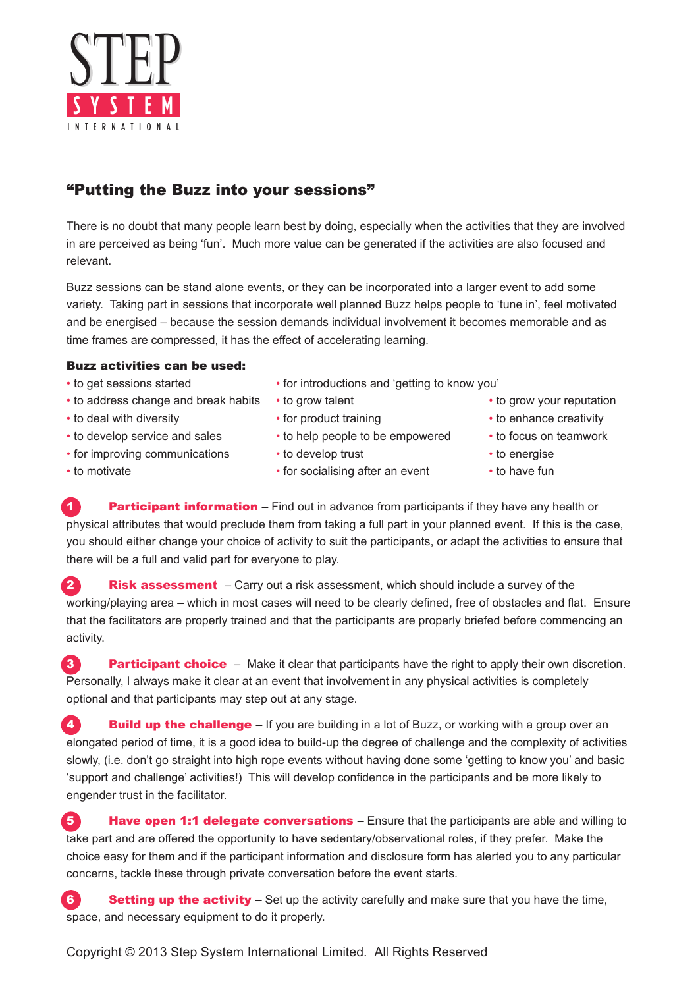

## "Putting the Buzz into your sessions"

There is no doubt that many people learn best by doing, especially when the activities that they are involved in are perceived as being 'fun'. Much more value can be generated if the activities are also focused and relevant.

Buzz sessions can be stand alone events, or they can be incorporated into a larger event to add some variety. Taking part in sessions that incorporate well planned Buzz helps people to 'tune in', feel motivated and be energised – because the session demands individual involvement it becomes memorable and as time frames are compressed, it has the effect of accelerating learning.

## Buzz activities can be used:

- 
- to address change and break habits to grow talent to grow your reputation
- 
- to develop service and sales to help people to be empowered to focus on teamwork
- for improving communications to develop trust to energise
- 
- to get sessions started for introductions and 'getting to know you'
	-
	-
	-
	-
- to motivate **•** for socialising after an event to have fun
- 
- to deal with diversity **•** for product training to enhance creativity
	-
	-
	-

**1 Participant information** – Find out in advance from participants if they have any health or physical attributes that would preclude them from taking a full part in your planned event. If this is the case, you should either change your choice of activity to suit the participants, or adapt the activities to ensure that there will be a full and valid part for everyone to play.

**2** Risk assessment – Carry out a risk assessment, which should include a survey of the working/playing area – which in most cases will need to be clearly defined, free of obstacles and flat. Ensure that the facilitators are properly trained and that the participants are properly briefed before commencing an activity.

**3** Participant choice – Make it clear that participants have the right to apply their own discretion. Personally, I always make it clear at an event that involvement in any physical activities is completely optional and that participants may step out at any stage.

4. Build up the challenge – If you are building in a lot of Buzz, or working with a group over an elongated period of time, it is a good idea to build-up the degree of challenge and the complexity of activities slowly, (i.e. don't go straight into high rope events without having done some 'getting to know you' and basic 'support and challenge' activities!) This will develop confidence in the participants and be more likely to engender trust in the facilitator.

**5 Have open 1:1 delegate conversations** – Ensure that the participants are able and willing to take part and are offered the opportunity to have sedentary/observational roles, if they prefer. Make the choice easy for them and if the participant information and disclosure form has alerted you to any particular concerns, tackle these through private conversation before the event starts.

6 **Setting up the activity** – Set up the activity carefully and make sure that you have the time, space, and necessary equipment to do it properly.

Copyright © 2013 Step System International Limited. All Rights Reserved